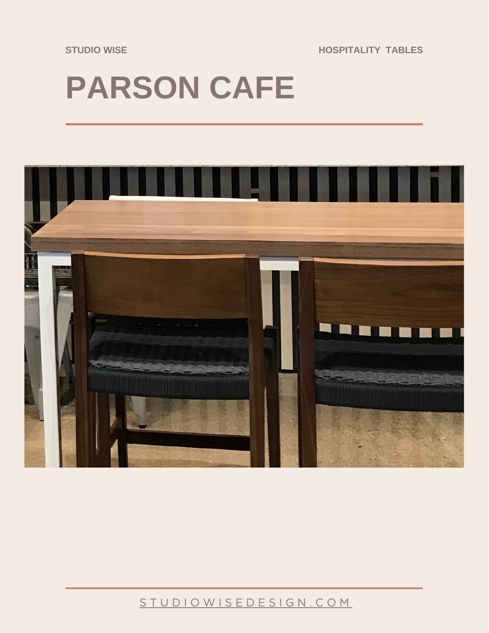**STUDIO WISE HOSPITALITY TABLES**

## **PARSON CAFE**



## [S T U D I O W I S E D E S I G N . C O M](https://studiowisedesign.com/)